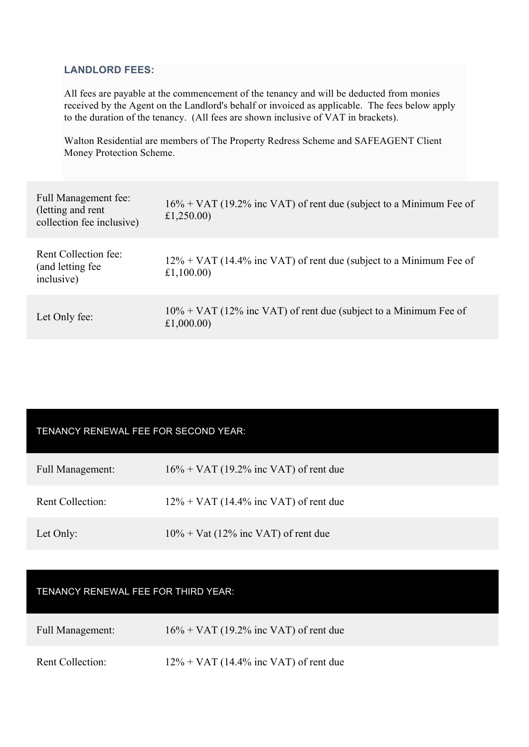### **LANDLORD FEES:**

All fees are payable at the commencement of the tenancy and will be deducted from monies received by the Agent on the Landlord's behalf or invoiced as applicable. The fees below apply to the duration of the tenancy. (All fees are shown inclusive of VAT in brackets).

Walton Residential are members of The Property Redress Scheme and SAFEAGENT Client Money Protection Scheme.

| Full Management fee:<br>(letting and rent)<br>collection fee inclusive) | $16\% + \text{VAT}$ (19.2% inc VAT) of rent due (subject to a Minimum Fee of<br>£1,250.00) |
|-------------------------------------------------------------------------|--------------------------------------------------------------------------------------------|
| Rent Collection fee:<br>(and letting fee)<br>inclusive)                 | $12\% + \text{VAT}$ (14.4% inc VAT) of rent due (subject to a Minimum Fee of<br>£1,100.00) |
| Let Only fee:                                                           | $10\% + \text{VAT}$ (12% inc VAT) of rent due (subject to a Minimum Fee of<br>£1,000.00)   |

### TENANCY RENEWAL FEE FOR SECOND YEAR:

| <b>Full Management:</b> | $16\% + \text{VAT}$ (19.2% inc VAT) of rent due |
|-------------------------|-------------------------------------------------|
| <b>Rent Collection:</b> | $12\% + \text{VAT}$ (14.4% inc VAT) of rent due |
| Let Only:               | $10\% + \text{Vat}$ (12% inc VAT) of rent due   |

# TENANCY RENEWAL FEE FOR THIRD YEAR:

| <b>Full Management:</b> | $16\% + \text{VAT}$ (19.2% inc VAT) of rent due |
|-------------------------|-------------------------------------------------|
|                         |                                                 |

Rent Collection: 12% + VAT (14.4% inc VAT) of rent due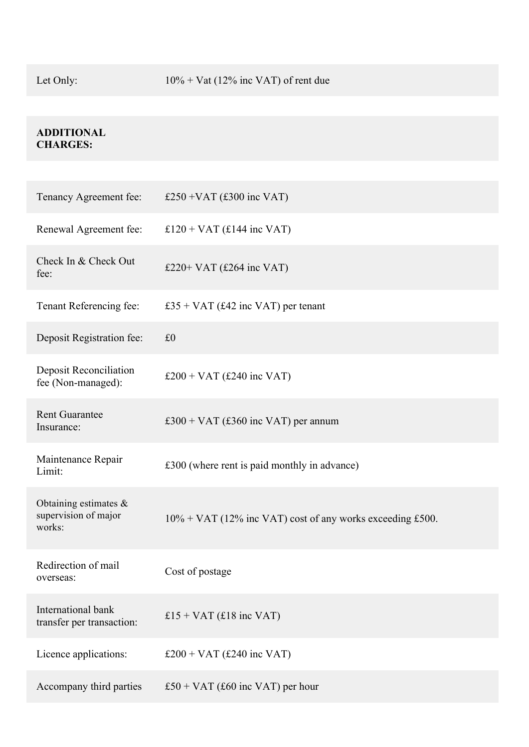## **ADDITIONAL CHARGES:**

| Tenancy Agreement fee:                                     | £250 + VAT $(£300$ inc VAT)                                  |
|------------------------------------------------------------|--------------------------------------------------------------|
| Renewal Agreement fee:                                     | £120 + VAT $(£144$ inc VAT)                                  |
| Check In & Check Out<br>fee:                               | £220+ VAT $(£264$ inc VAT)                                   |
| Tenant Referencing fee:                                    | £35 + VAT (£42 inc VAT) per tenant                           |
| Deposit Registration fee:                                  | £0                                                           |
| Deposit Reconciliation<br>fee (Non-managed):               | £200 + VAT (£240 inc VAT)                                    |
| <b>Rent Guarantee</b><br>Insurance:                        | £300 + VAT (£360 inc VAT) per annum                          |
| Maintenance Repair<br>Limit:                               | £300 (where rent is paid monthly in advance)                 |
| Obtaining estimates $\&$<br>supervision of major<br>works: | $10\%$ + VAT (12% inc VAT) cost of any works exceeding £500. |
| Redirection of mail<br>overseas:                           | Cost of postage                                              |
| International bank<br>transfer per transaction:            | £15 + VAT (£18 inc VAT)                                      |
| Licence applications:                                      | £200 + VAT (£240 inc VAT)                                    |
| Accompany third parties                                    | £50 + VAT (£60 inc VAT) per hour                             |